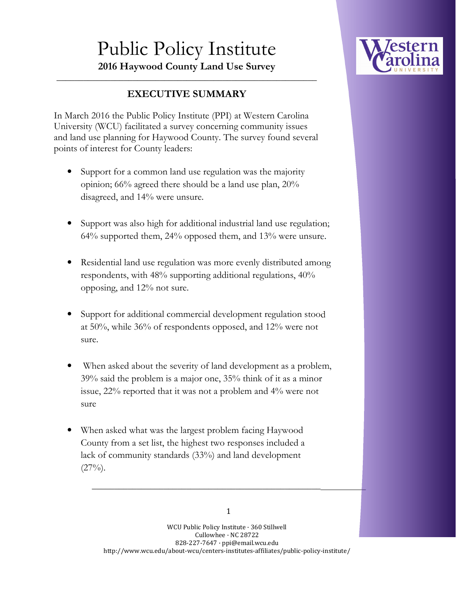## Public Policy Institute **2016 Haywood County Land Use Survey**



## $\overline{\phantom{a}}$  , and the contract of the contract of the contract of the contract of the contract of the contract of the contract of the contract of the contract of the contract of the contract of the contract of the contrac **EXECUTIVE SUMMARY**

In March 2016 the Public Policy Institute (PPI) at Western Carolina University (WCU) facilitated a survey concerning community issues and land use planning for Haywood County. The survey found several points of interest for County leaders:

- Support for a common land use regulation was the majority opinion; 66% agreed there should be a land use plan, 20% disagreed, and 14% were unsure.
- Support was also high for additional industrial land use regulation; 64% supported them, 24% opposed them, and 13% were unsure.
- Residential land use regulation was more evenly distributed among respondents, with 48% supporting additional regulations, 40% opposing, and 12% not sure.
- Support for additional commercial development regulation stood at 50%, while 36% of respondents opposed, and 12% were not sure.
- When asked about the severity of land development as a problem, 39% said the problem is a major one, 35% think of it as a minor issue, 22% reported that it was not a problem and 4% were not sure
- When asked what was the largest problem facing Haywood County from a set list, the highest two responses included a lack of community standards (33%) and land development  $(27\%)$ .

**\_\_\_\_\_\_\_\_\_\_\_\_\_\_\_\_\_\_\_\_\_\_\_\_\_\_\_\_\_\_\_\_\_\_\_\_\_\_\_\_\_\_\_\_\_\_\_\_\_\_\_\_\_\_\_\_\_\_\_\_\_**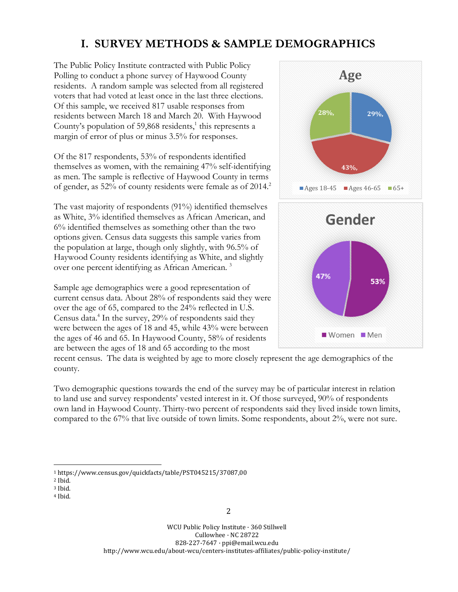## **I. SURVEY METHODS & SAMPLE DEMOGRAPHICS**

The Public Policy Institute contracted with Public Policy Polling to conduct a phone survey of Haywood County residents. A random sample was selected from all registered voters that had voted at least once in the last three elections. Of this sample, we received 817 usable responses from residents between March 18 and March 20. With Haywood County's population of 59,868 residents, $<sup>1</sup>$  this represents a</sup> margin of error of plus or minus 3.5% for responses.

Of the 817 respondents, 53% of respondents identified themselves as women, with the remaining 47% self-identifying as men. The sample is reflective of Haywood County in terms of gender, as  $52\%$  of county residents were female as of  $2014<sup>2</sup>$ 

The vast majority of respondents (91%) identified themselves as White, 3% identified themselves as African American, and 6% identified themselves as something other than the two options given. Census data suggests this sample varies from the population at large, though only slightly, with 96.5% of Haywood County residents identifying as White, and slightly over one percent identifying as African American.<sup>3</sup>

Sample age demographics were a good representation of current census data. About 28% of respondents said they were over the age of 65, compared to the 24% reflected in U.S. Census data.<sup>4</sup> In the survey, 29% of respondents said they were between the ages of 18 and 45, while 43% were between the ages of 46 and 65. In Haywood County, 58% of residents are between the ages of 18 and 65 according to the most



recent census. The data is weighted by age to more closely represent the age demographics of the county.

Two demographic questions towards the end of the survey may be of particular interest in relation to land use and survey respondents' vested interest in it. Of those surveyed, 90% of respondents own land in Haywood County. Thirty-two percent of respondents said they lived inside town limits, compared to the 67% that live outside of town limits. Some respondents, about 2%, were not sure.

 $\overline{a}$ <sup>1</sup> https://www.census.gov/quickfacts/table/PST045215/37087,00

<sup>2</sup> Ibid.

<sup>3</sup> Ibid.

<sup>4</sup> Ibid.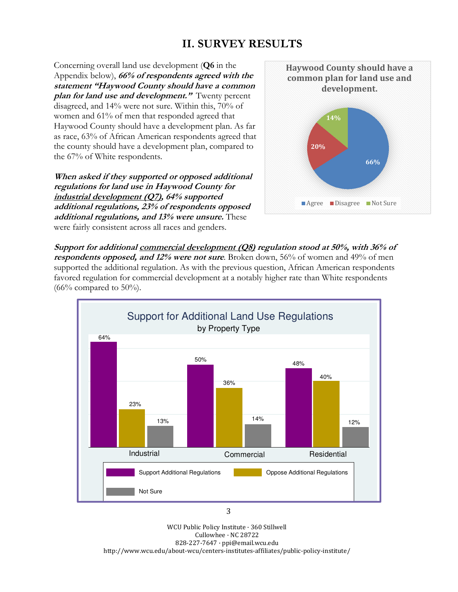## **II. SURVEY RESULTS**

Concerning overall land use development (**Q6** in the Appendix below), **66% of respondents agreed with the statement "Haywood County should have a common plan for land use and development."** Twenty percent disagreed, and 14% were not sure. Within this, 70% of women and 61% of men that responded agreed that Haywood County should have a development plan. As far as race, 63% of African American respondents agreed that the county should have a development plan, compared to the 67% of White respondents.

**When asked if they supported or opposed additional regulations for land use in Haywood County for industrial development (Q7), 64% supported additional regulations, 23% of respondents opposed additional regulations, and 13% were unsure.** These were fairly consistent across all races and genders.



**Support for additional commercial development (Q8) regulation stood at 50%, with 36% of respondents opposed, and 12% were not sure**. Broken down, 56% of women and 49% of men supported the additional regulation. As with the previous question, African American respondents favored regulation for commercial development at a notably higher rate than White respondents  $(66\%$  compared to 50%).



WCU Public Policy Institute · 360 Stillwell Cullowhee · NC 28722 828-227-7647 · ppi@email.wcu.edu http://www.wcu.edu/about-wcu/centers-institutes-affiliates/public-policy-institute/

3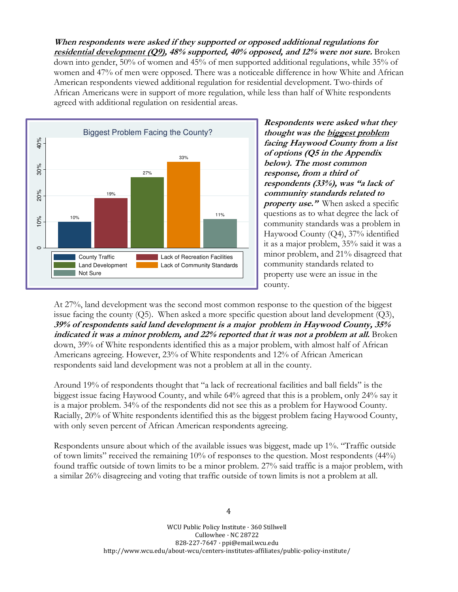**When respondents were asked if they supported or opposed additional regulations for residential development (Q9), 48% supported, 40% opposed, and 12% were not sure.** Broken down into gender, 50% of women and 45% of men supported additional regulations, while 35% of women and 47% of men were opposed. There was a noticeable difference in how White and African American respondents viewed additional regulation for residential development. Two-thirds of African Americans were in support of more regulation, while less than half of White respondents agreed with additional regulation on residential areas.



**Respondents were asked what they thought was the biggest problem facing Haywood County from a list of options (Q5 in the Appendix below). The most common response, from a third of respondents (33%), was "a lack of community standards related to property use."** When asked a specific questions as to what degree the lack of community standards was a problem in Haywood County (Q4), 37% identified it as a major problem, 35% said it was a minor problem, and 21% disagreed that community standards related to property use were an issue in the county.

At 27%, land development was the second most common response to the question of the biggest issue facing the county  $(Q5)$ . When asked a more specific question about land development  $(Q3)$ , **39% of respondents said land development is a major problem in Haywood County, 35% indicated it was a minor problem, and 22% reported that it was not a problem at all.** Broken down, 39% of White respondents identified this as a major problem, with almost half of African Americans agreeing. However, 23% of White respondents and 12% of African American respondents said land development was not a problem at all in the county.

Around 19% of respondents thought that "a lack of recreational facilities and ball fields" is the biggest issue facing Haywood County, and while 64% agreed that this is a problem, only 24% say it is a major problem. 34% of the respondents did not see this as a problem for Haywood County. Racially, 20% of White respondents identified this as the biggest problem facing Haywood County, with only seven percent of African American respondents agreeing.

Respondents unsure about which of the available issues was biggest, made up 1%. "Traffic outside of town limits" received the remaining 10% of responses to the question. Most respondents (44%) found traffic outside of town limits to be a minor problem. 27% said traffic is a major problem, with a similar 26% disagreeing and voting that traffic outside of town limits is not a problem at all.

> WCU Public Policy Institute · 360 Stillwell Cullowhee · NC 28722 828-227-7647 · ppi@email.wcu.edu http://www.wcu.edu/about-wcu/centers-institutes-affiliates/public-policy-institute/

4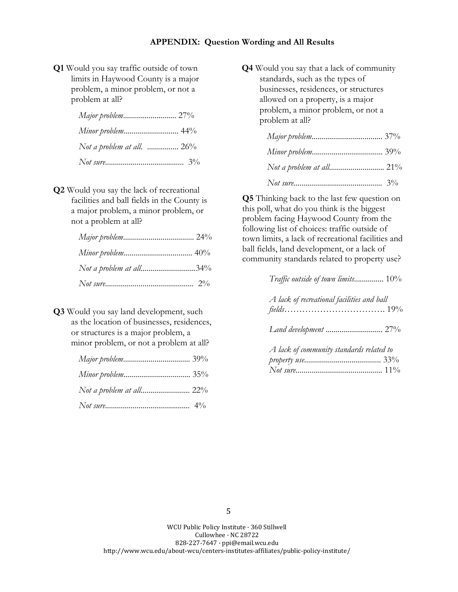**Q1** Would you say traffic outside of town limits in Haywood County is a major problem, a minor problem, or not a problem at all?

| Minor problem 44%            |  |
|------------------------------|--|
| Not a problem at all. $26\%$ |  |
|                              |  |

**Q2** Would you say the lack of recreational facilities and ball fields in the County is a major problem, a minor problem, or not a problem at all?

| Not a problem at all34% |  |
|-------------------------|--|
|                         |  |

**Q3** Would you say land development, such as the location of businesses, residences, or structures is a major problem, a minor problem, or not a problem at all?

| Not a problem at all 22% |  |
|--------------------------|--|
|                          |  |

**Q4** Would you say that a lack of community standards, such as the types of businesses, residences, or structures allowed on a property, is a major problem, a minor problem, or not a problem at all?

| Not a problem at all 21% |  |
|--------------------------|--|
|                          |  |

**Q5** Thinking back to the last few question on this poll, what do you think is the biggest problem facing Haywood County from the following list of choices: traffic outside of town limits, a lack of recreational facilities and ball fields, land development, or a lack of community standards related to property use?

| Traffic outside of town limits 10%         |  |
|--------------------------------------------|--|
| A lack of recreational facilities and ball |  |
|                                            |  |
| A lack of community standards related to   |  |

WCU Public Policy Institute · 360 Stillwell Cullowhee · NC 28722 828-227-7647 · ppi@email.wcu.edu http://www.wcu.edu/about-wcu/centers-institutes-affiliates/public-policy-institute/